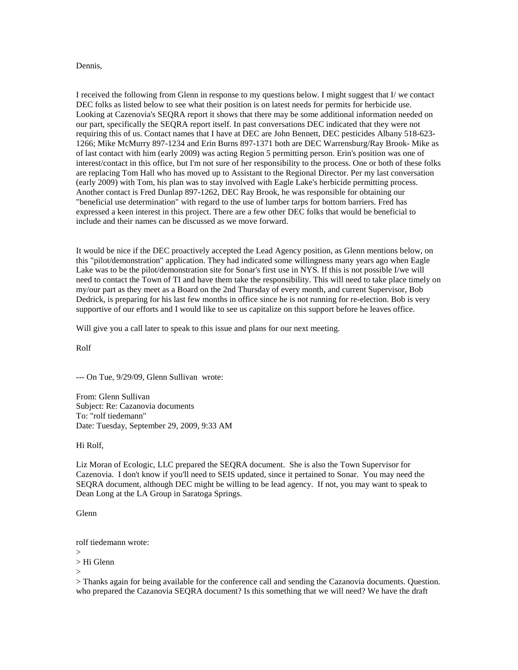## Dennis,

I received the following from Glenn in response to my questions below. I might suggest that I/ we contact DEC folks as listed below to see what their position is on latest needs for permits for herbicide use. Looking at Cazenovia's SEQRA report it shows that there may be some additional information needed on our part, specifically the SEQRA report itself. In past conversations DEC indicated that they were not requiring this of us. Contact names that I have at DEC are John Bennett, DEC pesticides Albany 518-623- 1266; Mike McMurry 897-1234 and Erin Burns 897-1371 both are DEC Warrensburg/Ray Brook- Mike as of last contact with him (early 2009) was acting Region 5 permitting person. Erin's position was one of interest/contact in this office, but I'm not sure of her responsibility to the process. One or both of these folks are replacing Tom Hall who has moved up to Assistant to the Regional Director. Per my last conversation (early 2009) with Tom, his plan was to stay involved with Eagle Lake's herbicide permitting process. Another contact is Fred Dunlap 897-1262, DEC Ray Brook, he was responsible for obtaining our "beneficial use determination" with regard to the use of lumber tarps for bottom barriers. Fred has expressed a keen interest in this project. There are a few other DEC folks that would be beneficial to include and their names can be discussed as we move forward.

It would be nice if the DEC proactively accepted the Lead Agency position, as Glenn mentions below, on this "pilot/demonstration" application. They had indicated some willingness many years ago when Eagle Lake was to be the pilot/demonstration site for Sonar's first use in NYS. If this is not possible I/we will need to contact the Town of TI and have them take the responsibility. This will need to take place timely on my/our part as they meet as a Board on the 2nd Thursday of every month, and current Supervisor, Bob Dedrick, is preparing for his last few months in office since he is not running for re-election. Bob is very supportive of our efforts and I would like to see us capitalize on this support before he leaves office.

Will give you a call later to speak to this issue and plans for our next meeting.

Rolf

--- On Tue, 9/29/09, Glenn Sullivan wrote:

From: Glenn Sullivan Subject: Re: Cazanovia documents To: "rolf tiedemann" Date: Tuesday, September 29, 2009, 9:33 AM

Hi Rolf,

Liz Moran of Ecologic, LLC prepared the SEQRA document. She is also the Town Supervisor for Cazenovia. I don't know if you'll need to SEIS updated, since it pertained to Sonar. You may need the SEQRA document, although DEC might be willing to be lead agency. If not, you may want to speak to Dean Long at the LA Group in Saratoga Springs.

Glenn

rolf tiedemann wrote:

 $\rightarrow$ 

> Hi Glenn

>

> Thanks again for being available for the conference call and sending the Cazanovia documents. Question. who prepared the Cazanovia SEQRA document? Is this something that we will need? We have the draft